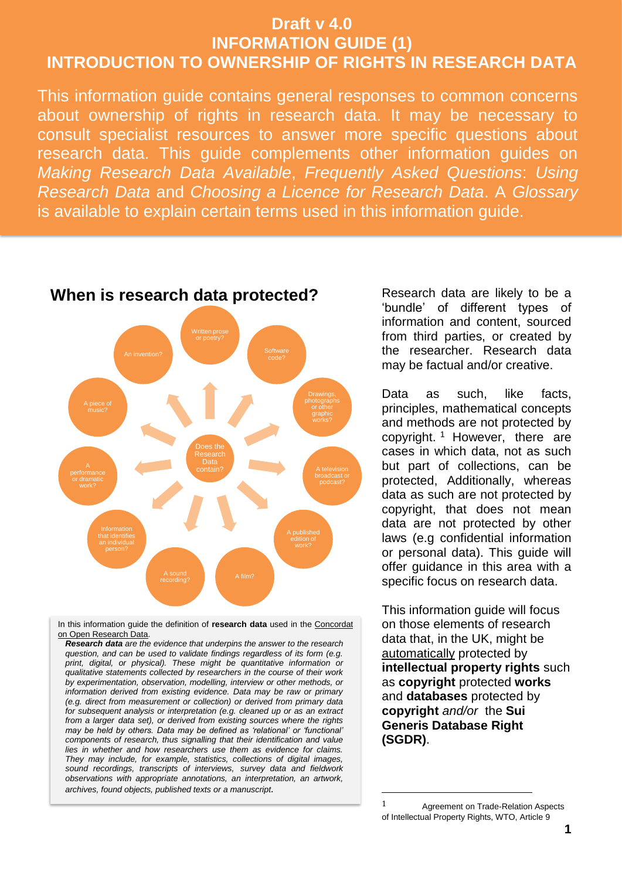# **Draft v 4.0 INFORMATION GUIDE (1) INTRODUCTION TO OWNERSHIP OF RIGHTS IN RESEARCH DATA**

This information guide contains general responses to common concerns about ownership of rights in research data. It may be necessary to consult specialist resources to answer more specific questions about research data. This guide complements other information guides on *Making Research Data Available*, *Frequently Asked Questions*: *Using Research Data* and *Choosing a Licence for Research Data*. A *Glossary* is available to explain certain terms used in this information guide.



In this information guide the definition of **research data** used in the [Concordat](https://www.ukri.org/files/legacy/documents/concordatonopenresearchdata-pdf/)  [on Open Research Data.](https://www.ukri.org/files/legacy/documents/concordatonopenresearchdata-pdf/)

*Research data are the evidence that underpins the answer to the research question, and can be used to validate findings regardless of its form (e.g.*  print, digital, or physical). These might be quantitative information or *qualitative statements collected by researchers in the course of their work by experimentation, observation, modelling, interview or other methods, or information derived from existing evidence. Data may be raw or primary (e.g. direct from measurement or collection) or derived from primary data for subsequent analysis or interpretation (e.g. cleaned up or as an extract from a larger data set), or derived from existing sources where the rights may be held by others. Data may be defined as 'relational' or 'functional' components of research, thus signalling that their identification and value lies in whether and how researchers use them as evidence for claims. They may include, for example, statistics, collections of digital images, sound recordings, transcripts of interviews, survey data and fieldwork observations with appropriate annotations, an interpretation, an artwork, archives, found objects, published texts or a manuscript.*

'bundle' of different types of information and content, sourced from third parties, or created by the researcher. Research data may be factual and/or creative.

Data as such, like facts, principles, mathematical concepts and methods are not protected by copyright.<sup>1</sup> However, there are cases in which data, not as such but part of collections, can be protected, Additionally, whereas data as such are not protected by copyright, that does not mean data are not protected by other laws (e.g confidential information or personal data). This guide will offer guidance in this area with a specific focus on research data.

This information guide will focus on those elements of research data that, in the UK, might be automatically protected by **intellectual property rights** such as **copyright** protected **works** and **databases** protected by **copyright** *and/or* the **Sui Generis Database Right (SGDR)**.

<u>.</u>

<sup>1</sup> Agreement on Trade-Relation Aspects of Intellectual Property Rights, WTO, Article 9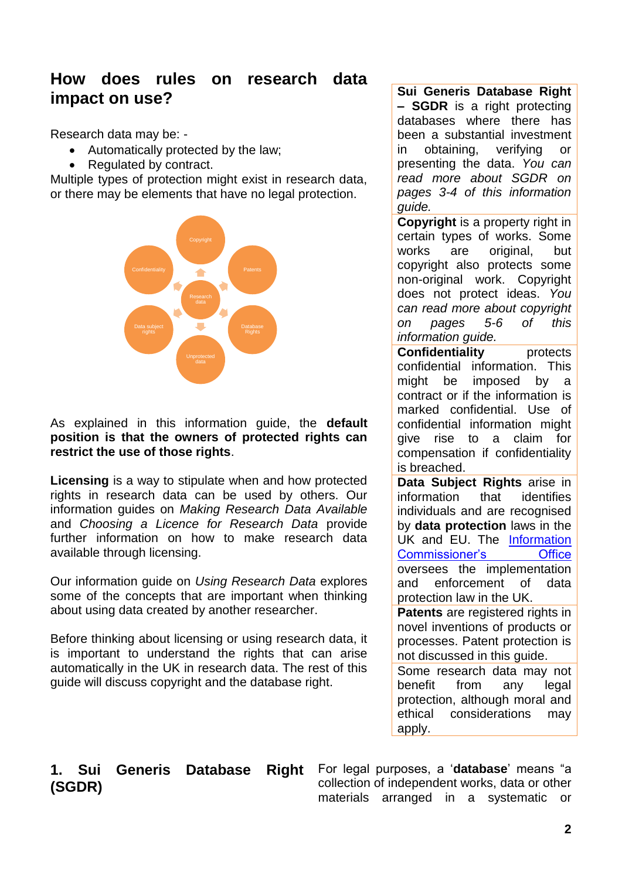# **How does rules on research data impact on use?**

Research data may be: -

- Automatically protected by the law;
- Regulated by contract.

Multiple types of protection might exist in research data, or there may be elements that have no legal protection.



As explained in this information guide, the **default position is that the owners of protected rights can restrict the use of those rights**.

**Licensing** is a way to stipulate when and how protected rights in research data can be used by others. Our information guides on *Making Research Data Available*  and *Choosing a Licence for Research Data* provide further information on how to make research data available through licensing.

Our information guide on *Using Research Data* explores some of the concepts that are important when thinking about using data created by another researcher.

Before thinking about licensing or using research data, it is important to understand the rights that can arise automatically in the UK in research data. The rest of this guide will discuss copyright and the database right.

**Sui Generis Database Right – SGDR** is a right protecting databases where there has been a substantial investment in obtaining, verifying or presenting the data. *You can read more about SGDR on pages 3-4 of this information guide.*

**Copyright** is a property right in certain types of works. Some works are original, but copyright also protects some non-original work. Copyright does not protect ideas. *You can read more about copyright on pages 5-6 of this information guide.*

**Confidentiality** protects confidential information. This might be imposed by a contract or if the information is marked confidential. Use of confidential information might give rise to a claim for compensation if confidentiality is breached.

**Data Subject Rights** arise in information that identifies individuals and are recognised by **data protection** laws in the UK and EU. The [Information](https://ico.org.uk/)  [Commissioner's Office](https://ico.org.uk/) oversees the implementation and enforcement of data protection law in the UK.

**Patents** are registered rights in novel inventions of products or processes. Patent protection is not discussed in this guide.

Some research data may not benefit from any legal protection, although moral and ethical considerations may apply.

## **1. Sui Generis Database Right (SGDR)**

For legal purposes, a '**database**' means "a collection of independent works, data or other materials arranged in a systematic or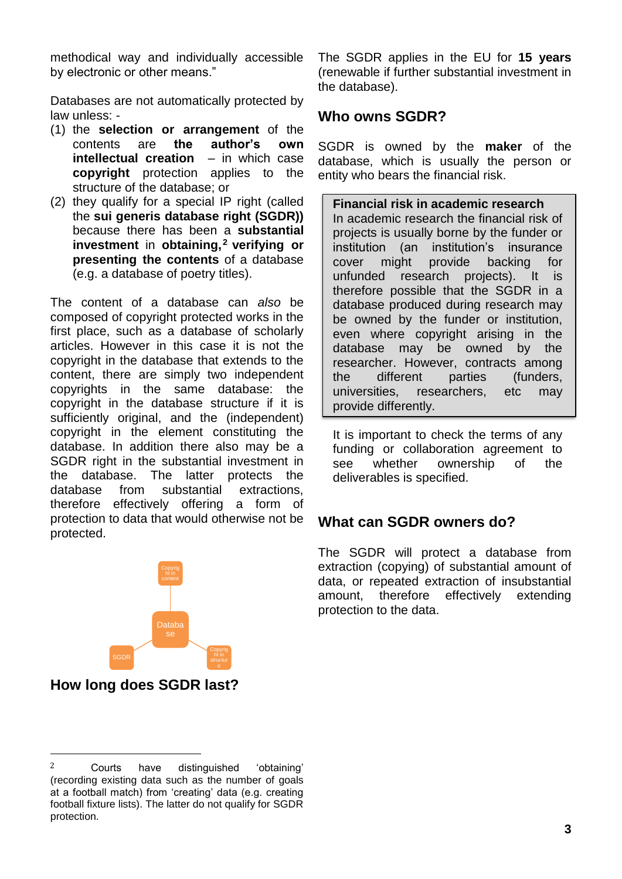methodical way and individually accessible by electronic or other means."

Databases are not automatically protected by law unless: -

- (1) the **selection or arrangement** of the contents are **the author's own intellectual creation** – in which case **copyright** protection applies to the structure of the database; or
- (2) they qualify for a special IP right (called the **sui generis database right (SGDR))**  because there has been a **substantial investment** in **obtaining,<sup>2</sup> verifying or presenting the contents** of a database (e.g. a database of poetry titles).

The content of a database can *also* be composed of copyright protected works in the first place, such as a database of scholarly articles. However in this case it is not the copyright in the database that extends to the content, there are simply two independent copyrights in the same database: the copyright in the database structure if it is sufficiently original, and the (independent) copyright in the element constituting the database. In addition there also may be a SGDR right in the substantial investment in the database. The latter protects the database from substantial extractions, therefore effectively offering a form of protection to data that would otherwise not be protected.



### **How long does SGDR last?**

 $\overline{\phantom{a}}$ 

2 Courts have distinguished 'obtaining' (recording existing data such as the number of goals at a football match) from 'creating' data (e.g. creating football fixture lists). The latter do not qualify for SGDR protection.

The SGDR applies in the EU for **15 years**  (renewable if further substantial investment in the database).

### **Who owns SGDR?**

SGDR is owned by the **maker** of the database, which is usually the person or entity who bears the financial risk.

**Financial risk in academic research** In academic research the financial risk of projects is usually borne by the funder or institution (an institution's insurance cover might provide backing for unfunded research projects). It is therefore possible that the SGDR in a database produced during research may be owned by the funder or institution, even where copyright arising in the database may be owned by the researcher. However, contracts among the different parties (funders, universities, researchers, etc may provide differently.

It is important to check the terms of any funding or collaboration agreement to see whether ownership of the deliverables is specified.

## **What can SGDR owners do?**

The SGDR will protect a database from extraction (copying) of substantial amount of data, or repeated extraction of insubstantial amount, therefore effectively extending protection to the data.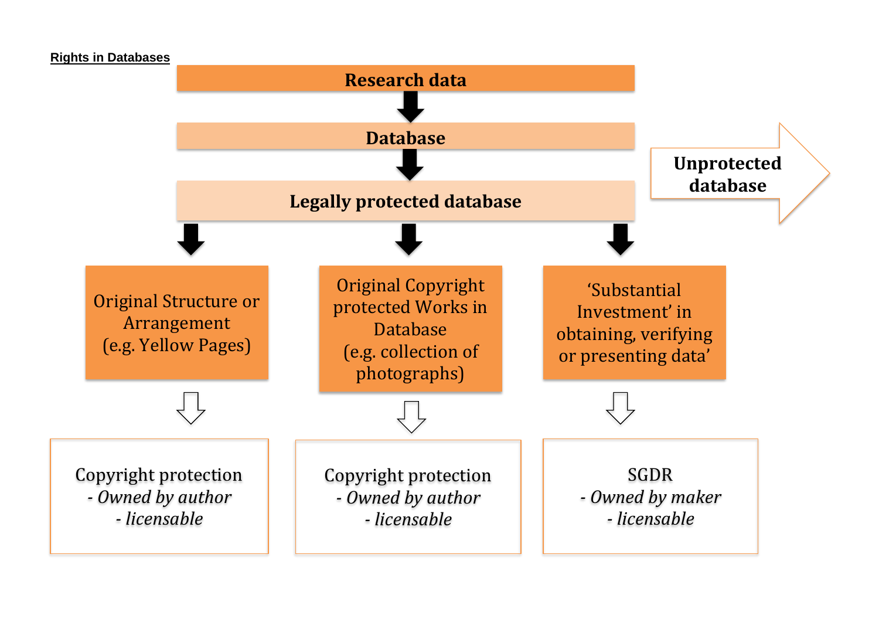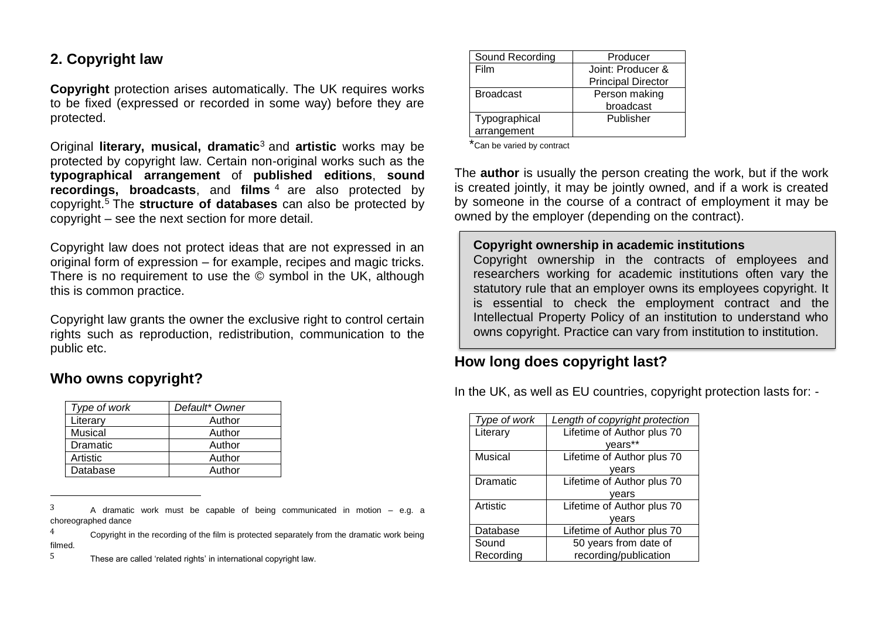## **2. Copyright law**

**Copyright** protection arises automatically. The UK requires works to be fixed (expressed or recorded in some way) before they are protected.

Original **literary, musical, dramatic**<sup>3</sup> and **artistic** works may be protected by copyright law. Certain non-original works such as the **typographical arrangement** of **published editions**, **sound recordings, broadcasts**, and **films** <sup>4</sup> are also protected by copyright.<sup>5</sup> The **structure of databases** can also be protected by copyright – see the next section for more detail.

Copyright law does not protect ideas that are not expressed in an original form of expression – for example, recipes and magic tricks. There is no requirement to use the © symbol in the UK, although this is common practice.

Copyright law grants the owner the exclusive right to control certain rights such as reproduction, redistribution, communication to the public etc.

## **Who owns copyright?**

 $\overline{a}$ 

| Type of work | Default* Owner |
|--------------|----------------|
| Literary     | Author         |
| Musical      | Author         |
| Dramatic     | Author         |
| Artistic     | Author         |
| Database     | Author         |

 $3$  A dramatic work must be capable of being communicated in motion – e.g. a choreographed dance

5 These are called 'related rights' in international copyright law.

| Sound Recording  | Producer                  |
|------------------|---------------------------|
| Film             | Joint: Producer &         |
|                  | <b>Principal Director</b> |
| <b>Broadcast</b> | Person making             |
|                  | broadcast                 |
| Typographical    | Publisher                 |
| arrangement      |                           |

\*Can be varied by contract

The **author** is usually the person creating the work, but if the work is created jointly, it may be jointly owned, and if a work is created by someone in the course of a contract of employment it may be owned by the employer (depending on the contract).

#### **Copyright ownership in academic institutions**

Copyright ownership in the contracts of employees and researchers working for academic institutions often vary the statutory rule that an employer owns its employees copyright. It is essential to check the employment contract and the Intellectual Property Policy of an institution to understand who owns copyright. Practice can vary from institution to institution.

## **How long does copyright last?**

In the UK, as well as EU countries, copyright protection lasts for: -

| Type of work | Length of copyright protection |
|--------------|--------------------------------|
| Literary     | Lifetime of Author plus 70     |
|              | years**                        |
| Musical      | Lifetime of Author plus 70     |
|              | vears                          |
| Dramatic     | Lifetime of Author plus 70     |
|              | vears                          |
| Artistic     | Lifetime of Author plus 70     |
|              | vears                          |
| Database     | Lifetime of Author plus 70     |
| Sound        | 50 years from date of          |
| Recording    | recording/publication          |

 $4$  Copyright in the recording of the film is protected separately from the dramatic work being filmed.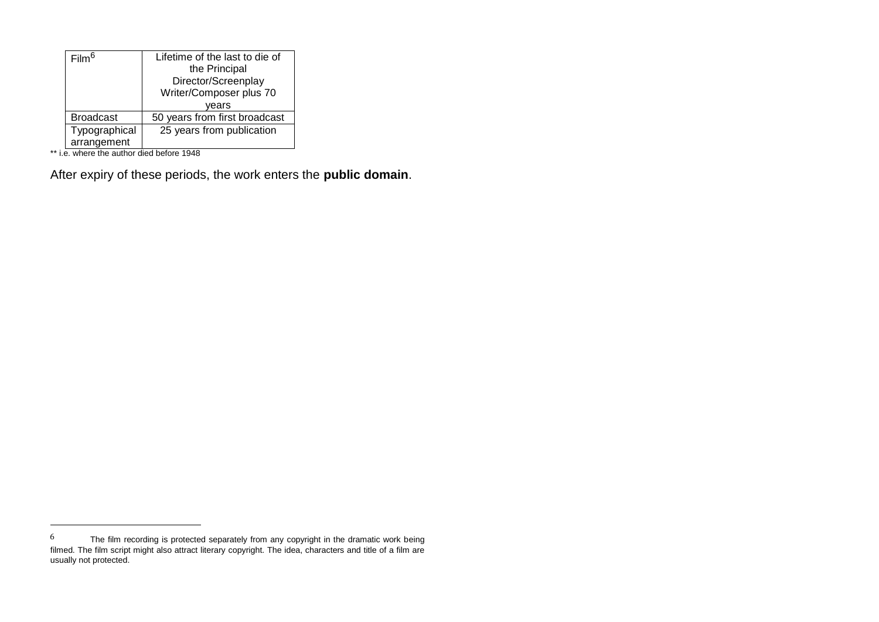| Film <sup>6</sup> | Lifetime of the last to die of |
|-------------------|--------------------------------|
|                   | the Principal                  |
|                   | Director/Screenplay            |
|                   | Writer/Composer plus 70        |
|                   | vears                          |
| <b>Broadcast</b>  | 50 years from first broadcast  |
| Typographical     | 25 years from publication      |
| arrangement       |                                |

\*\* i.e. where the author died before 1948

 $\overline{\phantom{a}}$ 

After expiry of these periods, the work enters the **public domain**.

 $^6$  The film recording is protected separately from any copyright in the dramatic work being filmed. The film script might also attract literary copyright. The idea, characters and title of a film are usually not protected.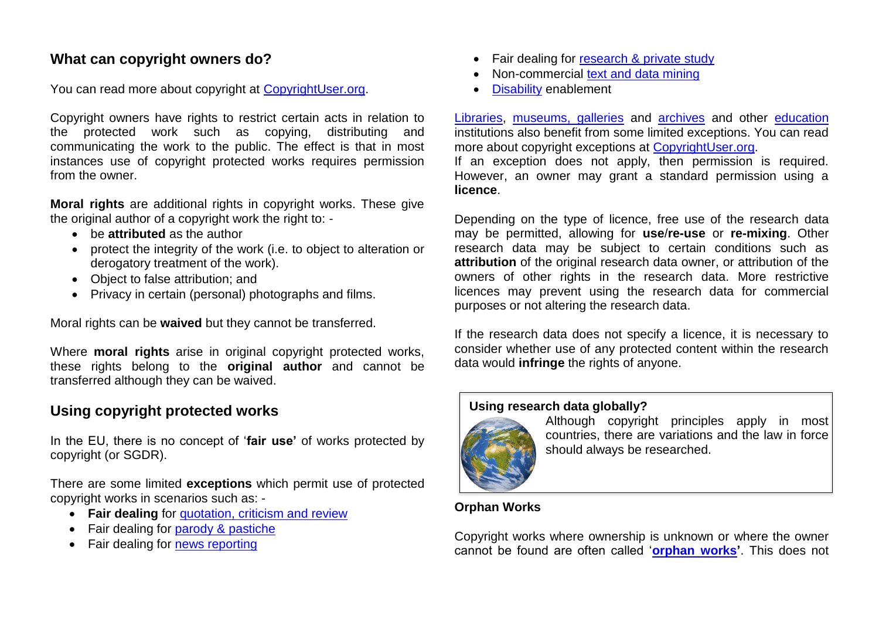### **What can copyright owners do?**

You can read more about copyright at [CopyrightUser.org.](https://www.copyrightuser.org/)

Copyright owners have rights to restrict certain acts in relation to the protected work such as copying, distributing and communicating the work to the public. The effect is that in most instances use of copyright protected works requires permission from the owner.

**Moral rights** are additional rights in copyright works. These give the original author of a copyright work the right to: -

- be **attributed** as the author
- protect the integrity of the work (i.e. to object to alteration or derogatory treatment of the work).
- Object to false attribution; and
- Privacy in certain (personal) photographs and films.

Moral rights can be **waived** but they cannot be transferred.

Where **moral rights** arise in original copyright protected works, these rights belong to the **original author** and cannot be transferred although they can be waived.

## **Using copyright protected works**

In the EU, there is no concept of '**fair use'** of works protected by copyright (or SGDR).

There are some limited **exceptions** which permit use of protected copyright works in scenarios such as: -

- **Fair dealing** for [quotation, criticism and review](http://www.copyrightuser.org/understand/exceptions/quotation/)
- Fair dealing for [parody & pastiche](http://www.copyrightuser.org/understand/exceptions/parody-pastiche/)
- Fair dealing for [news reporting](http://www.copyrightuser.org/understand/exceptions/news-reporting/)
- Fair dealing for [research & private study](http://www.copyrightuser.org/understand/exceptions/research-private-study/)
- Non-commercial [text and data mining](http://www.copyrightuser.org/understand/exceptions/text-data-mining/)
- [Disability](http://www.copyrightuser.org/understand/exceptions/disability/) enablement

[Libraries,](http://www.copyrightuser.org/educate/intermediaries/libraries/) [museums, galleries](http://www.copyrightuser.org/educate/intermediaries/museums-and-galleries/) and [archives](http://www.copyrightuser.org/educate/intermediaries/archives/) and other [education](http://www.copyrightuser.org/understand/exceptions/education/) institutions also benefit from some limited exceptions. You can read more about copyright exceptions at [CopyrightUser.org.](http://www.copyrightuser.org/understand/exceptions/)

If an exception does not apply, then permission is required. However, an owner may grant a standard permission using a **licence**.

Depending on the type of licence, free use of the research data may be permitted, allowing for **use**/**re-use** or **re-mixing**. Other research data may be subject to certain conditions such as **attribution** of the original research data owner, or attribution of the owners of other rights in the research data. More restrictive licences may prevent using the research data for commercial purposes or not altering the research data.

If the research data does not specify a licence, it is necessary to consider whether use of any protected content within the research data would **infringe** the rights of anyone.

### **Using research data globally?**



Although copyright principles apply in most countries, there are variations and the law in force should always be researched.

### **Orphan Works**

Copyright works where ownership is unknown or where the owner cannot be found are often called '**[orphan works'](http://www.copyrightuser.org/understand/exceptions/orphan-works/)**. This does not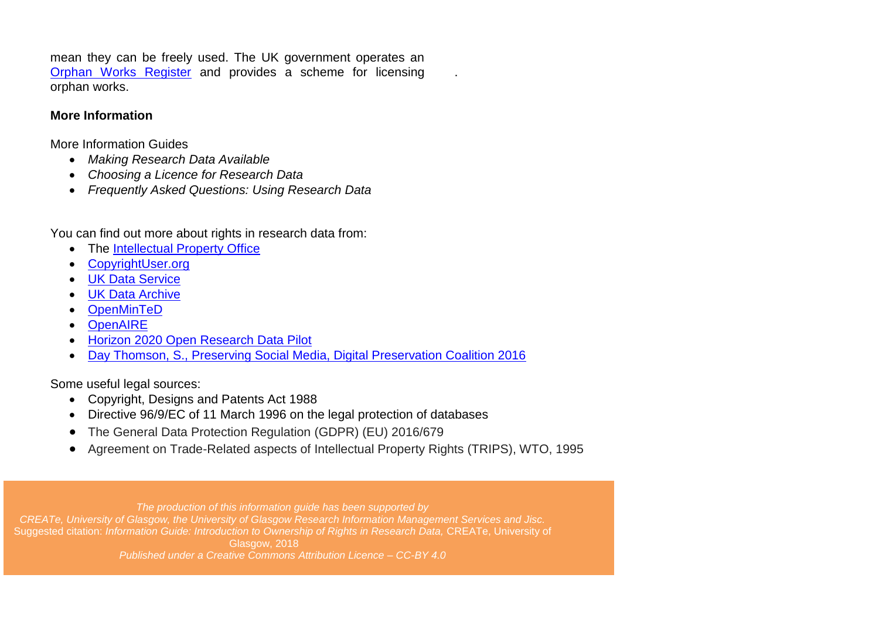mean they can be freely used. The UK government operates an [Orphan Works Register](https://www.gov.uk/guidance/copyright-orphan-works) and provides a scheme for licensing orphan works.

#### **More Information**

More Information Guides

- *Making Research Data Available*
- *Choosing a Licence for Research Data*
- *Frequently Asked Questions: Using Research Data*

You can find out more about rights in research data from:

- The [Intellectual Property Office](https://www.gov.uk/government/organisations/intellectual-property-office)
- [CopyrightUser.org](http://www.copyrightuser.org/)
- [UK Data Service](https://www.ukdataservice.ac.uk/get-data/other-providers/open-data)
- [UK Data Archive](http://www.data-archive.ac.uk/)
- **[OpenMinTeD](http://openminted.eu/)**
- **[OpenAIRE](https://www.openaire.eu/)**
- **[Horizon 2020 Open Research Data Pilot](http://ec.europa.eu/research/participants/docs/h2020-funding-guide/cross-cutting-issues/open-access-data-management/data-management_en.htm)**
- [Day Thomson, S., Preserving Social Media, Digital Preservation Coalition 2016](https://www.dpconline.org/docs/technology-watch-reports/1486-twr16-01/file)

Some useful legal sources:

- Copyright, Designs and Patents Act 1988
- Directive 96/9/EC of 11 March 1996 on the legal protection of databases
- The General Data Protection Regulation (GDPR) (EU) 2016/679
- Agreement on Trade-Related aspects of Intellectual Property Rights (TRIPS), WTO, 1995

.

*The production of this information guide has been supported by CREATe, University of Glasgow, the University of Glasgow Research Information Management Services and Jisc.* Suggested citation: *Information Guide: Introduction to Ownership of Rights in Research Data,* CREATe, University of Glasgow, 2018 *Published under a Creative Commons Attribution Licence – CC-BY 4.0*